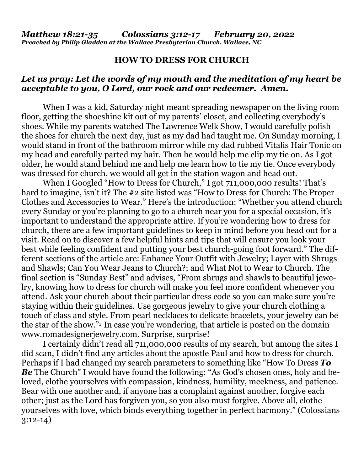## **HOW TO DRESS FOR CHURCH**

## *Let us pray: Let the words of my mouth and the meditation of my heart be acceptable to you, O Lord, our rock and our redeemer. Amen.*

When I was a kid, Saturday night meant spreading newspaper on the living room floor, getting the shoeshine kit out of my parents' closet, and collecting everybody's shoes. While my parents watched The Lawrence Welk Show, I would carefully polish the shoes for church the next day, just as my dad had taught me. On Sunday morning, I would stand in front of the bathroom mirror while my dad rubbed Vitalis Hair Tonic on my head and carefully parted my hair. Then he would help me clip my tie on. As I got older, he would stand behind me and help me learn how to tie my tie. Once everybody was dressed for church, we would all get in the station wagon and head out.

When I Googled "How to Dress for Church," I got 711,000,000 results! That's hard to imagine, isn't it? The #2 site listed was "How to Dress for Church: The Proper Clothes and Accessories to Wear." Here's the introduction: "Whether you attend church every Sunday or you're planning to go to a church near you for a special occasion, it's important to understand the appropriate attire. If you're wondering how to dress for church, there are a few important guidelines to keep in mind before you head out for a visit. Read on to discover a few helpful hints and tips that will ensure you look your best while feeling confident and putting your best church-going foot forward." The different sections of the article are: Enhance Your Outfit with Jewelry; Layer with Shrugs and Shawls; Can You Wear Jeans to Church?; and What Not to Wear to Church. The final section is "Sunday Best" and advises, "From shrugs and shawls to beautiful jewelry, knowing how to dress for church will make you feel more confident whenever you attend. Ask your church about their particular dress code so you can make sure you're staying within their guidelines. Use gorgeous jewelry to give your church clothing a touch of class and style. From pearl necklaces to delicate bracelets, your jewelry can be the star of the show."1 In case you're wondering, that article is posted on the domain www.romadesignerjewelry.com. Surprise, surprise!

 I certainly didn't read all 711,000,000 results of my search, but among the sites I did scan, I didn't find any articles about the apostle Paul and how to dress for church. Perhaps if I had changed my search parameters to something like "How To Dress *To*  **Be** The Church" I would have found the following: "As God's chosen ones, holy and beloved, clothe yourselves with compassion, kindness, humility, meekness, and patience. Bear with one another and, if anyone has a complaint against another, forgive each other; just as the Lord has forgiven you, so you also must forgive. Above all, clothe yourselves with love, which binds everything together in perfect harmony." (Colossians 3:12-14)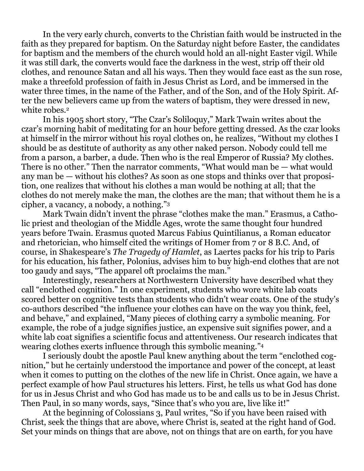In the very early church, converts to the Christian faith would be instructed in the faith as they prepared for baptism. On the Saturday night before Easter, the candidates for baptism and the members of the church would hold an all-night Easter vigil. While it was still dark, the converts would face the darkness in the west, strip off their old clothes, and renounce Satan and all his ways. Then they would face east as the sun rose, make a threefold profession of faith in Jesus Christ as Lord, and be immersed in the water three times, in the name of the Father, and of the Son, and of the Holy Spirit. After the new believers came up from the waters of baptism, they were dressed in new, white robes.<sup>2</sup>

 In his 1905 short story, "The Czar's Soliloquy," Mark Twain writes about the czar's morning habit of meditating for an hour before getting dressed. As the czar looks at himself in the mirror without his royal clothes on, he realizes, "Without my clothes I should be as destitute of authority as any other naked person. Nobody could tell me from a parson, a barber, a dude. Then who is the real Emperor of Russia? My clothes. There is no other." Then the narrator comments, "What would man be — what would any man be — without his clothes? As soon as one stops and thinks over that proposition, one realizes that without his clothes a man would be nothing at all; that the clothes do not merely make the man, the clothes are the man; that without them he is a cipher, a vacancy, a nobody, a nothing."<sup>3</sup>

 Mark Twain didn't invent the phrase "clothes make the man." Erasmus, a Catholic priest and theologian of the Middle Ages, wrote the same thought four hundred years before Twain. Erasmus quoted Marcus Fabius Quintilianus, a Roman educator and rhetorician, who himself cited the writings of Homer from 7 or 8 B.C. And, of course, in Shakespeare's *The Tragedy of Hamlet*, as Laertes packs for his trip to Paris for his education, his father, Polonius, advises him to buy high-end clothes that are not too gaudy and says, "The apparel oft proclaims the man."

 Interestingly, researchers at Northwestern University have described what they call "enclothed cognition." In one experiment, students who wore white lab coats scored better on cognitive tests than students who didn't wear coats. One of the study's co-authors described "the influence your clothes can have on the way you think, feel, and behave," and explained, "Many pieces of clothing carry a symbolic meaning. For example, the robe of a judge signifies justice, an expensive suit signifies power, and a white lab coat signifies a scientific focus and attentiveness. Our research indicates that wearing clothes exerts influence through this symbolic meaning."<sup>4</sup>

 I seriously doubt the apostle Paul knew anything about the term "enclothed cognition," but he certainly understood the importance and power of the concept, at least when it comes to putting on the clothes of the new life in Christ. Once again, we have a perfect example of how Paul structures his letters. First, he tells us what God has done for us in Jesus Christ and who God has made us to be and calls us to be in Jesus Christ. Then Paul, in so many words, says, "Since that's who you are, live like it!"

 At the beginning of Colossians 3, Paul writes, "So if you have been raised with Christ, seek the things that are above, where Christ is, seated at the right hand of God. Set your minds on things that are above, not on things that are on earth, for you have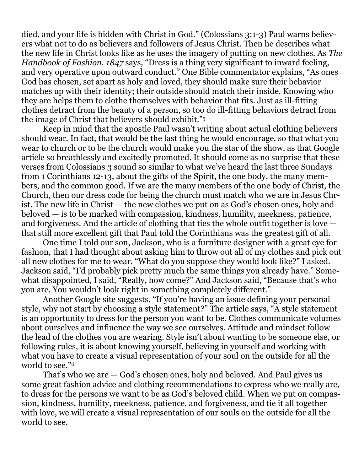died, and your life is hidden with Christ in God." (Colossians 3:1-3) Paul warns believers what not to do as believers and followers of Jesus Christ. Then he describes what the new life in Christ looks like as he uses the imagery of putting on new clothes. As *The Handbook of Fashion, 1847* says, "Dress is a thing very significant to inward feeling, and very operative upon outward conduct." One Bible commentator explains, "As ones God has chosen, set apart as holy and loved, they should make sure their behavior matches up with their identity; their outside should match their inside. Knowing who they are helps them to clothe themselves with behavior that fits. Just as ill-fitting clothes detract from the beauty of a person, so too do ill-fitting behaviors detract from the image of Christ that believers should exhibit."<sup>5</sup>

 Keep in mind that the apostle Paul wasn't writing about actual clothing believers should wear. In fact, that would be the last thing he would encourage, so that what you wear to church or to be the church would make you the star of the show, as that Google article so breathlessly and excitedly promoted. It should come as no surprise that these verses from Colossians 3 sound so similar to what we've heard the last three Sundays from 1 Corinthians 12-13, about the gifts of the Spirit, the one body, the many members, and the common good. If we are the many members of the one body of Christ, the Church, then our dress code for being the church must match who we are in Jesus Christ. The new life in Christ — the new clothes we put on as God's chosen ones, holy and beloved — is to be marked with compassion, kindness, humility, meekness, patience, and forgiveness. And the article of clothing that ties the whole outfit together is love that still more excellent gift that Paul told the Corinthians was the greatest gift of all.

 One time I told our son, Jackson, who is a furniture designer with a great eye for fashion, that I had thought about asking him to throw out all of my clothes and pick out all new clothes for me to wear. "What do you suppose they would look like?" I asked. Jackson said, "I'd probably pick pretty much the same things you already have." Somewhat disappointed, I said, "Really, how come?" And Jackson said, "Because that's who you are. You wouldn't look right in something completely different."

 Another Google site suggests, "If you're having an issue defining your personal style, why not start by choosing a style statement?" The article says, "A style statement is an opportunity to dress for the person you want to be. Clothes communicate volumes about ourselves and influence the way we see ourselves. Attitude and mindset follow the lead of the clothes you are wearing. Style isn't about wanting to be someone else, or following rules, it is about knowing yourself, believing in yourself and working with what you have to create a visual representation of your soul on the outside for all the world to see."<sup>6</sup>

 That's who we are — God's chosen ones, holy and beloved. And Paul gives us some great fashion advice and clothing recommendations to express who we really are, to dress for the persons we want to be as God's beloved child. When we put on compassion, kindness, humility, meekness, patience, and forgiveness, and tie it all together with love, we will create a visual representation of our souls on the outside for all the world to see.